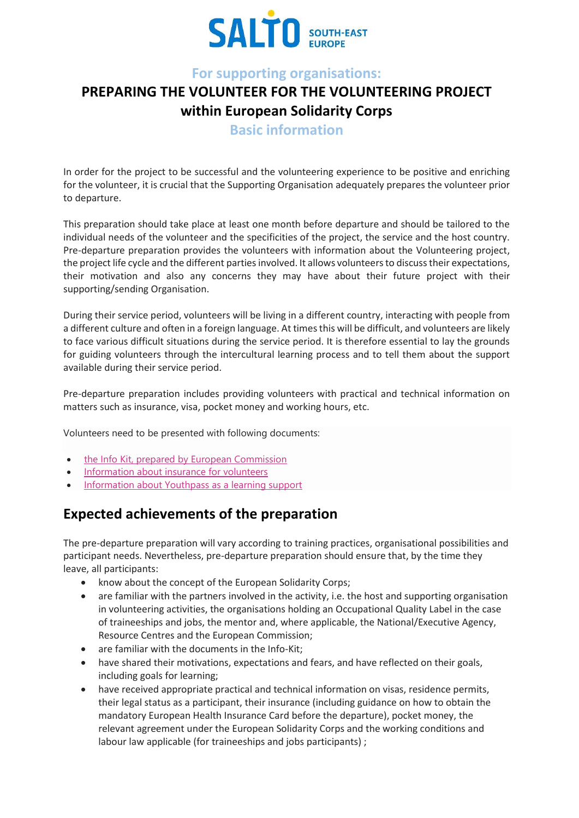

### **For supporting organisations:**

## **PREPARING THE VOLUNTEER FOR THE VOLUNTEERING PROJECT within European Solidarity Corps**

**Basic information**

In order for the project to be successful and the volunteering experience to be positive and enriching for the volunteer, it is crucial that the Supporting Organisation adequately prepares the volunteer prior to departure.

This preparation should take place at least one month before departure and should be tailored to the individual needs of the volunteer and the specificities of the project, the service and the host country. Pre-departure preparation provides the volunteers with information about the Volunteering project, the project life cycle and the different parties involved. It allows volunteers to discuss their expectations, their motivation and also any concerns they may have about their future project with their supporting/sending Organisation.

During their service period, volunteers will be living in a different country, interacting with people from a different culture and often in a foreign language. At times this will be difficult, and volunteers are likely to face various difficult situations during the service period. It is therefore essential to lay the grounds for guiding volunteers through the intercultural learning process and to tell them about the support available during their service period.

Pre-departure preparation includes providing volunteers with practical and technical information on matters such as insurance, visa, pocket money and working hours, etc.

Volunteers need to be presented with following documents:

- the Info Kit, prepared by European [Commission](https://www.salto-youth.net/downloads/4-17-3886/Info%20kit%20European%20Solidarity%20Corps%202018%20final%20clean.docx)
- [Information](https://www.cignahealthbenefits.com/en/plan-members) about insurance for volunteers
- [Information](https://www.youthpass.eu/en/help/faqs/evs/) about Youthpass as a learning support

## **Expected achievements of the preparation**

The pre-departure preparation will vary according to training practices, organisational possibilities and participant needs. Nevertheless, pre-departure preparation should ensure that, by the time they leave, all participants:

- know about the concept of the European Solidarity Corps;
- are familiar with the partners involved in the activity, i.e. the host and supporting organisation in volunteering activities, the organisations holding an Occupational Quality Label in the case of traineeships and jobs, the mentor and, where applicable, the National/Executive Agency, Resource Centres and the European Commission;
- are familiar with the documents in the Info-Kit;
- have shared their motivations, expectations and fears, and have reflected on their goals, including goals for learning;
- have received appropriate practical and technical information on visas, residence permits, their legal status as a participant, their insurance (including guidance on how to obtain the mandatory European Health Insurance Card before the departure), pocket money, the relevant agreement under the European Solidarity Corps and the working conditions and labour law applicable (for traineeships and jobs participants) ;